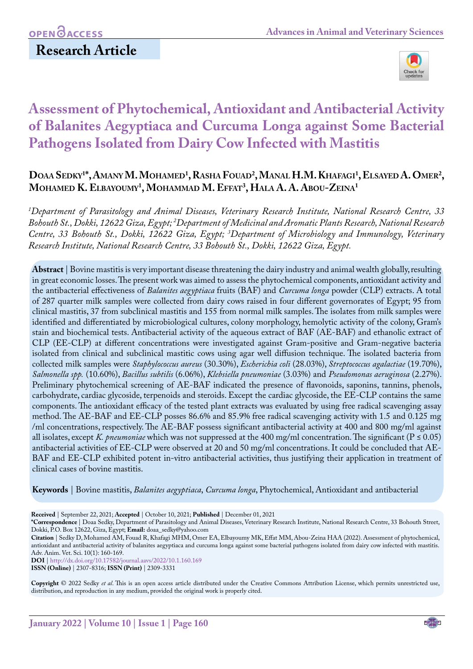# **Research Article**



# **Assessment of Phytochemical, Antioxidant and Antibacterial Activity of Balanites Aegyptiaca and Curcuma Longa against Some Bacterial Pathogens Isolated from Dairy Cow Infected with Mastitis**

## Doaa Sedky<sup>1\*</sup>, Amany M. Mohamed<sup>1</sup>, Rasha Fouad<sup>2</sup>, Manal H.M. Khafagi<sup>1</sup>, Elsayed A. Omer<sup>2</sup>, **Mohamed K. Elbayoumy1 , Mohammad M. Effat3 , Hala A. A. Abou-Zeina1**

*1 Department of Parasitology and Animal Diseases, Veterinary Research Institute, National Research Centre, 33 Bohouth St., Dokki, 12622 Giza, Egypt; 2 Department of Medicinal and Aromatic Plants Research, National Research Centre, 33 Bohouth St., Dokki, 12622 Giza, Egypt; 3 Department of Microbiology and Immunology, Veterinary Research Institute, National Research Centre, 33 Bohouth St., Dokki, 12622 Giza, Egypt.*

**Abstract** | Bovine mastitis is very important disease threatening the dairy industry and animal wealth globally, resulting in great economic losses. The present work was aimed to assess the phytochemical components, antioxidant activity and the antibacterial effectiveness of *Balanites aegyptiaca* fruits (BAF) and *Curcuma longa* powder (CLP) extracts. A total of 287 quarter milk samples were collected from dairy cows raised in four different governorates of Egypt; 95 from clinical mastitis, 37 from subclinical mastitis and 155 from normal milk samples. The isolates from milk samples were identified and differentiated by microbiological cultures, colony morphology, hemolytic activity of the colony, Gram's stain and biochemical tests. Antibacterial activity of the aqueous extract of BAF (AE-BAF) and ethanolic extract of CLP (EE-CLP) at different concentrations were investigated against Gram-positive and Gram-negative bacteria isolated from clinical and subclinical mastitic cows using agar well diffusion technique. The isolated bacteria from collected milk samples were *Staphylococcus aureus* (30.30%), *Escherichia coli* (28.03%), *Streptococcus agalactiae* (19.70%), *Salmonella spp.* (10.60%), *Bacillus subtilis* (6.06%), *Klebsiella pneumoniae* (3.03%) and *Pseudomonas aeruginosa* (2.27%). Preliminary phytochemical screening of AE-BAF indicated the presence of flavonoids, saponins, tannins, phenols, carbohydrate, cardiac glycoside, terpenoids and steroids. Except the cardiac glycoside, the EE-CLP contains the same components. The antioxidant efficacy of the tested plant extracts was evaluated by using free radical scavenging assay method. The AE-BAF and EE-CLP posses 86.6% and 85.9% free radical scavenging activity with 1.5 and 0.125 mg /ml concentrations, respectively. The AE-BAF possess significant antibacterial activity at 400 and 800 mg/ml against all isolates, except *K. pneumoniae* which was not suppressed at the 400 mg/ml concentration. The significant ( $P \le 0.05$ ) antibacterial activities of EE-CLP were observed at 20 and 50 mg/ml concentrations. It could be concluded that AE-BAF and EE-CLP exhibited potent in-vitro antibacterial activities, thus justifying their application in treatment of clinical cases of bovine mastitis.

**Keywords** | Bovine mastitis, *Balanites aegyptiaca*, *Curcuma longa*, Phytochemical, Antioxidant and antibacterial

**Received** | September 22, 2021; **Accepted** | October 10, 2021; **Published** | December 01, 2021

**\*Correspondence** | Doaa Sedky, Department of Parasitology and Animal Diseases, Veterinary Research Institute, National Research Centre, 33 Bohouth Street, Dokki, P.O. Box 12622, Giza, Egypt; **Email:** doaa\_sedky@yahoo.com

**Citation** | Sedky D, Mohamed AM, Fouad R, Khafagi MHM, Omer EA, Elbayoumy MK, Effat MM, Abou-Zeina HAA (2022). Assessment of phytochemical, antioxidant and antibacterial activity of balanites aegyptiaca and curcuma longa against some bacterial pathogens isolated from dairy cow infected with mastitis. Adv. Anim. Vet. Sci. 10(1): 160-169.

**DOI** |<http://dx.doi.org/10.17582/journal.aavs/2022/10.1.160.169>

**ISSN (Online)** | 2307-8316; **ISSN (Print)** | 2309-3331

**Copyright** © 2022 Sedky *et al*. This is an open access article distributed under the Creative Commons Attribution License, which permits unrestricted use, distribution, and reproduction in any medium, provided the original work is properly cited.

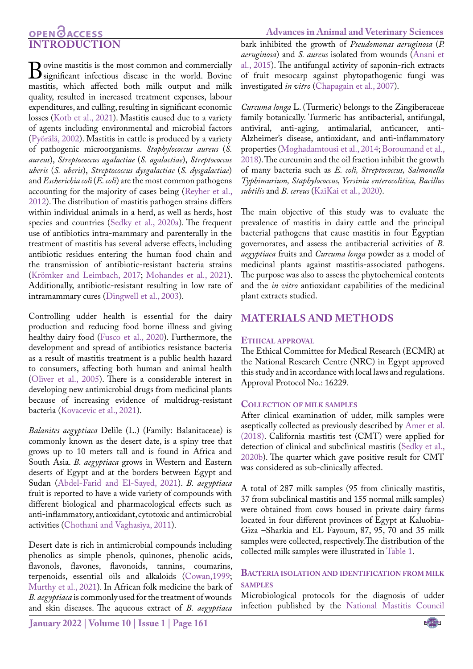## **OPEN**OACCESS **INTRODUCTION**

**B**ovine mastitis is the most common and commercially significant infectious disease in the world. Bovine mastitis, which affected both milk output and milk mastitis, which affected both milk output and milk quality, resulted in increased treatment expenses, labour expenditures, and culling, resulting in significant economic losses ([Kotb et al., 2021](#page-8-0)). Mastitis caused due to a variety of agents including environmental and microbial factors (Pyörälä, 2002). Mastitis in cattle is produced by a variety of pathogenic microorganisms. *Staphylococcus aureus* (*S. aureus*), *Streptococcus agalactiae* (*S. agalactiae*), *Streptococcus uberis* (*S. uberis*), *Streptococcus dysgalactiae* (*S. dysgalactiae*) and *Escherichia coli* (*E. coli*) are the most common pathogens accounting for the majority of cases being ([Reyher et al.,](#page-9-0)  [2012](#page-9-0)). The distribution of mastitis pathogen strains differs within individual animals in a herd, as well as herds, host species and countries ([Sedky et al., 2020a](#page-9-1)). The frequent use of antibiotics intra-mammary and parenterally in the treatment of mastitis has several adverse effects, including antibiotic residues entering the human food chain and the transmission of antibiotic-resistant bacteria strains ([Krömker and Leimbach, 2017](#page-8-1); [Mohandes et al., 2021](#page-8-2)). Additionally, antibiotic-resistant resulting in low rate of intramammary cures [\(Dingwell et al., 2003](#page-8-3)).

Controlling udder health is essential for the dairy production and reducing food borne illness and giving healthy dairy food (Fusco et al., 2020). Furthermore, the development and spread of antibiotics resistance bacteria as a result of mastitis treatment is a public health hazard to consumers, affecting both human and animal health ([Oliver et al., 2005\)](#page-9-2). There is a considerable interest in developing new antimicrobial drugs from medicinal plants because of increasing evidence of multidrug-resistant bacteria ([Kovacevic et al., 2021](#page-8-4)).

*Balanites aegyptiaca* Delile (L.) (Family: Balanitaceae) is commonly known as the desert date, is a spiny tree that grows up to 10 meters tall and is found in Africa and South Asia. *B. aegyptiaca* grows in Western and Eastern deserts of Egypt and at the borders between Egypt and Sudan ([Abdel-Farid and El-Sayed, 2021\)](#page-7-0). *B. aegyptiaca* fruit is reported to have a wide variety of compounds with different biological and pharmacological effects such as anti-inflammatory, antioxidant, cytotoxic and antimicrobial activities ([Chothani and Vaghasiya, 2011\)](#page-8-5).

Desert date is rich in antimicrobial compounds including phenolics as simple phenols, quinones, phenolic acids, flavonols, flavones, flavonoids, tannins, coumarins, terpenoids, essential oils and alkaloids [\(Cowan,1999;](#page-8-6) [Murthy et al., 2021\)](#page-9-3). In African folk medicine the bark of *B. aegyptiaca* is commonly used for the treatment of wounds and skin diseases. The aqueous extract of *B. aegyptiaca* 

**Advances in Animal and Veterinary Sciences** bark inhibited the growth of *Pseudomonas aeruginosa* (*P. aeruginosa*) and *S. aureus* isolated from wounds ([Anani et](#page-7-1) [al., 2015](#page-7-1)). The antifungal activity of saponin-rich extracts of fruit mesocarp against phytopathogenic fungi was investigated *in vitro* [\(Chapagain et al., 2007](#page-8-7)).

*Curcuma longa* L. (Turmeric) belongs to the Zingiberaceae family botanically. Turmeric has antibacterial, antifungal, antiviral, anti-aging, antimalarial, anticancer, anti-Alzheimer's disease, antioxidant, and anti-inflammatory properties [\(Moghadamtousi et al., 2014](#page-8-8); [Boroumand et al.,](#page-8-9) [2018](#page-8-9)). The curcumin and the oil fraction inhibit the growth of many bacteria such as *E. coli, Streptococcus, Salmonella Typhimurium, Staphylococcus, Yersinia enterocolitica, Bacillus subtilis* and *B. cereus* [\(KaiKai et al., 2020](#page-8-10)).

The main objective of this study was to evaluate the prevalence of mastitis in dairy cattle and the principal bacterial pathogens that cause mastitis in four Egyptian governorates, and assess the antibacterial activities of *B. aegyptiaca* fruits and *Curcuma longa* powder as a model of medicinal plants against mastitis-associated pathogens. The purpose was also to assess the phytochemical contents and the *in vitro* antioxidant capabilities of the medicinal plant extracts studied.

### **MATERIALS AND METHODS**

#### **Ethical approval**

The Ethical Committee for Medical Research (ECMR) at the National Research Centre (NRC) in Egypt approved this study and in accordance with local laws and regulations. Approval Protocol No.: 16229.

#### **Collection of milk samples**

After clinical examination of udder, milk samples were aseptically collected as previously described by [Amer et al.](#page-7-2) [\(2018\).](#page-7-2) California mastitis test (CMT) were applied for detection of clinical and subclinical mastitis [\(Sedky et al.,](#page-9-4) [2020b\)](#page-9-4). The quarter which gave positive result for CMT was considered as sub-clinically affected.

A total of 287 milk samples (95 from clinically mastitis, 37 from subclinical mastitis and 155 normal milk samples) were obtained from cows housed in private dairy farms located in four different provinces of Egypt at Kaluobia-Giza –Sharkia and EL Fayoum, 87, 95, 70 and 35 milk samples were collected, respectively.The distribution of the collected milk samples were illustrated in [Table 1](#page-2-0).

#### **Bacteria isolation and identification from milk samples**

Microbiological protocols for the diagnosis of udder infection published by the [National Mastitis Council](#page-9-5)

**January 2022 | Volume 10 | Issue 1 | Page 161**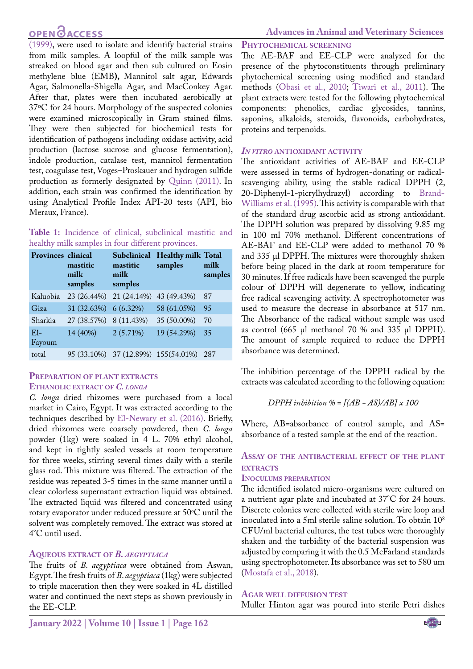# **OPEN**<sub>d</sub>

[\(1999\),](#page-9-5) were used to isolate and identify bacterial strains from milk samples. A loopful of the milk sample was streaked on blood agar and then sub cultured on Eosin methylene blue (EMB**),** Mannitol salt agar, Edwards Agar, Salmonella-Shigella Agar, and MacConkey Agar. After that, plates were then incubated aerobically at 37ºC for 24 hours. Morphology of the suspected colonies were examined microscopically in Gram stained films. They were then subjected for biochemical tests for identification of pathogens including oxidase activity, acid production (lactose sucrose and glucose fermentation), indole production, catalase test, mannitol fermentation test, coagulase test, Voges–Proskauer and hydrogen sulfide production as formerly designated by [Quinn \(2011\).](#page-9-6) In addition, each strain was confirmed the identification by using Analytical Profile Index API-20 tests (API, bio Meraux, France).

<span id="page-2-0"></span>

|  |  |  | Table 1: Incidence of clinical, subclinical mastitic and |  |
|--|--|--|----------------------------------------------------------|--|
|  |  |  | healthy milk samples in four different provinces.        |  |

| Provinces clinical | mastitic<br>milk<br>samples | mastitic<br>milk<br>samples | Subclinical Healthy milk Total<br>samples | milk<br>samples |
|--------------------|-----------------------------|-----------------------------|-------------------------------------------|-----------------|
| Kaluobia           | 23 (26.44%)                 | 21 (24.14%)                 | 43 (49.43%)                               | 87              |
| Giza               | 31 (32.63%) 6 (6.32%)       |                             | 58 (61.05%)                               | 95              |
| Sharkia            | 27 (38.57%) 8 (11.43%)      |                             | 35 (50.00%)                               | 70              |
| $E1-$<br>Fayoum    | $14(40\%)$ $2(5.71\%)$      |                             | 19 (54.29%)                               | 35              |
| total              |                             |                             | 95 (33.10%) 37 (12.89%) 155 (54.01%)      | 287             |

#### **Preparation of plant extracts Ethanolic extract of** *C. longa*

*C. longa* dried rhizomes were purchased from a local market in Cairo, Egypt. It was extracted according to the techniques described by [El-Newary et al. \(2016\).](#page-8-11) Briefly, dried rhizomes were coarsely powdered, then *C. longa* powder (1kg) were soaked in 4 L. 70% ethyl alcohol, and kept in tightly sealed vessels at room temperature for three weeks, stirring several times daily with a sterile glass rod. This mixture was filtered. The extraction of the residue was repeated 3-5 times in the same manner until a clear colorless supernatant extraction liquid was obtained. The extracted liquid was filtered and concentrated using rotary evaporator under reduced pressure at 50°C until the solvent was completely removed. The extract was stored at 4°C until used.

#### **Aqueous extract of** *B. aegyptiaca*

The fruits of *B. aegyptiaca* were obtained from Aswan, Egypt. The fresh fruits of *B*. *aegyptiaca* (1kg) were subjected to triple maceration then they were soaked in 4L distilled water and continued the next steps as shown previously in the EE-CLP.

#### **Phytochemical screening**

The AE-BAF and EE-CLP were analyzed for the presence of the phytoconstituents through preliminary phytochemical screening using modified and standard methods [\(Obasi et al., 2010](#page-9-7); Tiwari et al., 2011). The plant extracts were tested for the following phytochemical components: phenolics, cardiac glycosides, tannins, saponins, alkaloids, steroids, flavonoids, carbohydrates, proteins and terpenoids.

#### *In vitro* **antioxidant activity**

The antioxidant activities of AE-BAF and EE-CLP were assessed in terms of hydrogen-donating or radicalscavenging ability, using the stable radical DPPH (2, 20-Diphenyl-1-picrylhydrazyl) according to [Brand-](#page-8-12)[Williams et al. \(1995\).](#page-8-12) This activity is comparable with that of the standard drug ascorbic acid as strong antioxidant. The DPPH solution was prepared by dissolving 9.85 mg in 100 ml 70% methanol. Different concentrations of AE-BAF and EE-CLP were added to methanol 70 % and 335 µl DPPH. The mixtures were thoroughly shaken before being placed in the dark at room temperature for 30 minutes. If free radicals have been scavenged the purple colour of DPPH will degenerate to yellow, indicating free radical scavenging activity. A spectrophotometer was used to measure the decrease in absorbance at 517 nm. The Absorbance of the radical without sample was used as control (665  $\mu$ l methanol 70 % and 335  $\mu$ l DPPH). The amount of sample required to reduce the DPPH absorbance was determined.

The inhibition percentage of the DPPH radical by the extracts was calculated according to the following equation:

$$
DPPH\;inhibition\; % = [(AB-AS)/AB] \; x \; 100
$$

Where, AB=absorbance of control sample, and AS= absorbance of a tested sample at the end of the reaction.

#### **Assay of the antibacterial effect of the plant EXTRACTS**

#### **Inoculums preparation**

The identified isolated micro-organisms were cultured on a nutrient agar plate and incubated at 37°C for 24 hours. Discrete colonies were collected with sterile wire loop and inoculated into a 5ml sterile saline solution. To obtain 108 CFU/ml bacterial cultures, the test tubes were thoroughly shaken and the turbidity of the bacterial suspension was adjusted by comparing it with the 0.5 McFarland standards using spectrophotometer. Its absorbance was set to 580 um ([Mostafa et al., 2018\)](#page-8-13).

#### **Agar well diffusion test**

Muller Hinton agar was poured into sterile Petri dishes

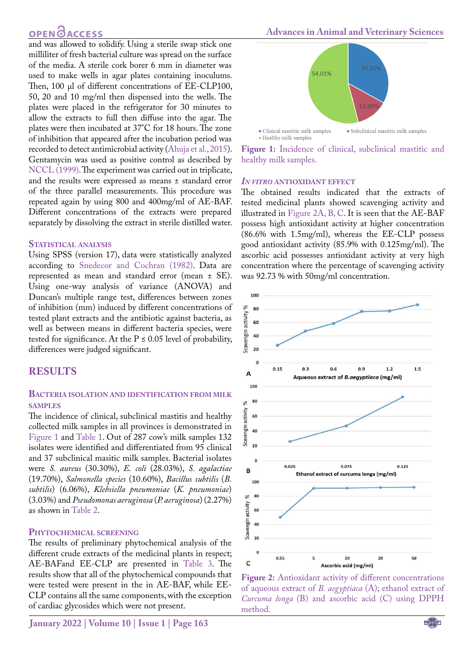# **OPEN**OACCESS

and was allowed to solidify. Using a sterile swap stick one milliliter of fresh bacterial culture was spread on the surface of the media. A sterile cork borer 6 mm in diameter was used to make wells in agar plates containing inoculums. Then, 100 µl of different concentrations of EE-CLP100, 50, 20 and 10 mg/ml then dispensed into the wells. The plates were placed in the refrigerator for 30 minutes to allow the extracts to full then diffuse into the agar. The plates were then incubated at 37°C for 18 hours. The zone of inhibition that appeared after the incubation period was recorded to detect antimicrobial activity [\(Ahuja et al., 2015](#page-7-3)). Gentamycin was used as positive control as described by [NCCL \(1999\)](#page-9-5). The experiment was carried out in triplicate, and the results were expressed as means ± standard error of the three parallel measurements. This procedure was repeated again by using 800 and 400mg/ml of AE-BAF. Different concentrations of the extracts were prepared separately by dissolving the extract in sterile distilled water.

#### **Statistical analysis**

Using SPSS (version 17), data were statistically analyzed according to [Snedecor and Cochran \(1982\).](#page-9-8) Data are represented as mean and standard error (mean ± SE). Using one-way analysis of variance (ANOVA) and Duncan's multiple range test, differences between zones of inhibition (mm) induced by different concentrations of tested plant extracts and the antibiotic against bacteria, as well as between means in different bacteria species, were tested for significance. At the  $P \le 0.05$  level of probability, differences were judged significant.

### **RESULTS**

#### **Bacteria isolation and identification from milk samples**

The incidence of clinical, subclinical mastitis and healthy collected milk samples in all provinces is demonstrated in [Figure 1](#page-3-0) and [Table 1](#page-2-0). Out of 287 cow's milk samples 132 isolates were identified and differentiated from 95 clinical and 37 subclinical masitic milk samples. Bacterial isolates were *S. aureus* (30.30%), *E. coli* (28.03%), *S. agalactiae*  (19.70%), *Salmonella species* (10.60%), *Bacillus subtilis* (*B. subtilis*) (6.06%), *Klebsiella pneumoniae* (*K. pneumoniae*) (3.03%) and *Pseudomonas aeruginosa* (*P. aeruginosa*) (2.27%) as shown in [Table 2.](#page-4-0)

#### **Phytochemical screening**

The results of preliminary phytochemical analysis of the different crude extracts of the medicinal plants in respect; AE-BAFand EE-CLP are presented in [Table 3](#page-4-1). The results show that all of the phytochemical compounds that were tested were present in the in AE-BAF, while EE-CLP contains all the same components, with the exception of cardiac glycosides which were not present.



<span id="page-3-0"></span>**Figure 1:** Incidence of clinical, subclinical mastitic and healthy milk samples.

#### *In vitro* **antioxidant effect**

The obtained results indicated that the extracts of tested medicinal plants showed scavenging activity and illustrated in [Figure 2A, B, C](#page-3-1). It is seen that the AE-BAF possess high antioxidant activity at higher concentration (86.6% with 1.5mg/ml), whereas the EE-CLP possess good antioxidant activity (85.9% with 0.125mg/ml). The ascorbic acid possesses antioxidant activity at very high concentration where the percentage of scavenging activity was 92.73 % with 50mg/ml concentration.



<span id="page-3-1"></span>**Figure 2:** Antioxidant activity of different concentrations of aqueous extract of *B. aegyptiaca* (A); ethanol extract of *Curcuma longa* (B) and ascorbic acid (C) using DPPH method.

NE**X**US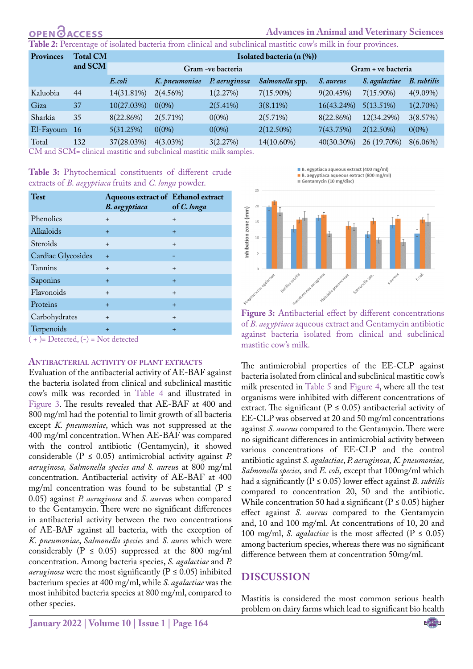# **CCESS**

#### **Advances in Animal and Veterinary Sciences**

<span id="page-4-0"></span>**Table 2:** Percentage of isolated bacteria from clinical and subclinical mastitic cow's milk in four provinces.

| <b>Provinces</b> | <b>Total CM</b> | Isolated bacteria (n (%)) |               |               |                 |                    |               |             |  |
|------------------|-----------------|---------------------------|---------------|---------------|-----------------|--------------------|---------------|-------------|--|
|                  | and SCM         | Gram -ve bacteria         |               |               |                 | Gram + ve bacteria |               |             |  |
|                  |                 | E.coli                    | K. pneumoniae | P. aeruginosa | Salmonella spp. | S. aureus          | S. agalactiae | B. subtilis |  |
| Kaluobia         | 44              | 14(31.81%)                | $2(4.56\%)$   | 1(2.27%)      | $7(15.90\%)$    | 9(20.45%)          | $7(15.90\%)$  | $4(9.09\%)$ |  |
| Giza             | 37              | 10(27.03%)                | $0(0\%)$      | $2(5.41\%)$   | $3(8.11\%)$     | 16(43.24%)         | 5(13.51%)     | 1(2.70%)    |  |
| Sharkia          | 35              | 8(22.86%)                 | $2(5.71\%)$   | $0(0\%)$      | 2(5.71%)        | 8(22.86%)          | 12(34.29%)    | 3(8.57%)    |  |
| El-Fayoum        | <sup>16</sup>   | 5(31.25%)                 | $0(0\%)$      | $0(0\%)$      | $2(12.50\%)$    | 7(43.75%)          | 2(12.50%)     | $0(0\%)$    |  |
| Total            | 132             | 37(28.03%)                | $4(3.03\%)$   | 3(2.27%)      | 14(10.60%)      | $40(30.30\%)$      | 26 (19.70%)   | $8(6.06\%)$ |  |

CM and SCM= clinical mastitic and subclinical mastitic milk samples.

<span id="page-4-1"></span>**Table 3:** Phytochemical constituents of different crude extracts of *B. aegyptiaca* fruits and *C. longa* powder.

| <b>Test</b>                                                                                                                                                                                                                                                                                                                      | Aqueous extract of Ethanol extract<br>B. aegyptiaca | of C. longa |
|----------------------------------------------------------------------------------------------------------------------------------------------------------------------------------------------------------------------------------------------------------------------------------------------------------------------------------|-----------------------------------------------------|-------------|
| Phenolics                                                                                                                                                                                                                                                                                                                        | $+$                                                 | $\ddot{}$   |
| Alkaloids                                                                                                                                                                                                                                                                                                                        | $+$                                                 | $\ddot{}$   |
| Steroids                                                                                                                                                                                                                                                                                                                         | $\ddot{}$                                           | $\ddot{}$   |
| Cardiac Glycosides                                                                                                                                                                                                                                                                                                               | $+$                                                 |             |
| Tannins                                                                                                                                                                                                                                                                                                                          | $+$                                                 | $\ddot{}$   |
| Saponins                                                                                                                                                                                                                                                                                                                         | $+$                                                 | $\ddot{}$   |
| Flavonoids                                                                                                                                                                                                                                                                                                                       | $\ddot{}$                                           | $+$         |
| Proteins                                                                                                                                                                                                                                                                                                                         | $+$                                                 | $+$         |
| Carbohydrates                                                                                                                                                                                                                                                                                                                    | $+$                                                 | $+$         |
| Terpenoids<br>$\sqrt{2}$ $\sqrt{2}$ $\sqrt{2}$ $\sqrt{2}$ $\sqrt{2}$ $\sqrt{2}$ $\sqrt{2}$ $\sqrt{2}$ $\sqrt{2}$ $\sqrt{2}$ $\sqrt{2}$ $\sqrt{2}$ $\sqrt{2}$ $\sqrt{2}$ $\sqrt{2}$ $\sqrt{2}$ $\sqrt{2}$ $\sqrt{2}$ $\sqrt{2}$ $\sqrt{2}$ $\sqrt{2}$ $\sqrt{2}$ $\sqrt{2}$ $\sqrt{2}$ $\sqrt{2}$ $\sqrt{2}$ $\sqrt{2}$ $\sqrt{2$ | $+$                                                 | $\ddot{}$   |

 $+$  )= Detected,  $(-)$  = Not detected

#### **Antibacterial activity of plant extracts**

Evaluation of the antibacterial activity of AE-BAF against the bacteria isolated from clinical and subclinical mastitic cow's milk was recorded in [Table 4](#page-6-0) and illustrated in [Figure 3.](#page-4-2) The results revealed that AE-BAF at 400 and 800 mg/ml had the potential to limit growth of all bacteria except *K. pneumoniae*, which was not suppressed at the 400 mg/ml concentration. When AE-BAF was compared with the control antibiotic (Gentamycin), it showed considerable (P ≤ 0.05) antimicrobial activity against *P. aeruginosa, Salmonella species and S. aureu*s at 800 mg/ml concentration. Antibacterial activity of AE-BAF at 400 mg/ml concentration was found to be substantial ( $P \leq$ 0.05) against *P. aeruginosa* and *S. aureu*s when compared to the Gentamycin. There were no significant differences in antibacterial activity between the two concentrations of AE-BAF against all bacteria, with the exception of *K. pneumoniae*, *Salmonella species* and *S. aures* which were considerably ( $P \le 0.05$ ) suppressed at the 800 mg/ml concentration. Among bacteria species, *S. agalactiae* and *P. aeruginosa* were the most significantly ( $P \le 0.05$ ) inhibited bacterium species at 400 mg/ml, while *S. agalactiae* was the most inhibited bacteria species at 800 mg/ml, compared to other species.

B. egyptiaca aqueous extract (400 mg/ml) ■ B. aegyptiaca aqueous extract (800 mg/ml)<br>■ Gentamycin (10 mg/disc)



<span id="page-4-2"></span>**Figure 3:** Antibacterial effect by different concentrations of *B. aegyptiaca* aqueous extract and Gentamycin antibiotic against bacteria isolated from clinical and subclinical mastitic cow's milk.

The antimicrobial properties of the EE-CLP against bacteria isolated from clinical and subclinical mastitic cow's milk presented in [Table 5](#page-6-1) and [Figure 4,](#page-5-0) where all the test organisms were inhibited with different concentrations of extract. The significant ( $P \le 0.05$ ) antibacterial activity of EE-CLP was observed at 20 and 50 mg/ml concentrations against *S. aureus* compared to the Gentamycin. There were no significant differences in antimicrobial activity between various concentrations of EE-CLP and the control antibiotic against *S. agalactiae*, *P. aeruginosa, K. pneumoniae, Salmonella species,* and *E. coli,* except that 100mg/ml which had a significantly (P ≤ 0.05) lower effect against *B. subtilis* compared to concentration 20, 50 and the antibiotic. While concentration 50 had a significant ( $P \le 0.05$ ) higher effect against *S. aureus* compared to the Gentamycin and, 10 and 100 mg/ml. At concentrations of 10, 20 and 100 mg/ml, *S. agalactiae* is the most affected ( $P \le 0.05$ ) among bacterium species, whereas there was no significant difference between them at concentration 50mg/ml.

## **DIscussion**

Mastitis is considered the most common serious health problem on dairy farms which lead to significant bio health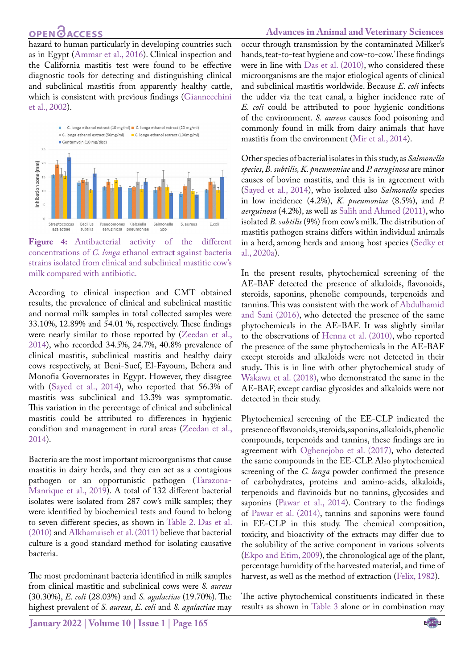## **OPEN**OACCESS

hazard to human particularly in developing countries such as in Egypt ([Ammar et al., 2016](#page-7-4)). Clinical inspection and the California mastitis test were found to be effective diagnostic tools for detecting and distinguishing clinical and subclinical mastitis from apparently healthy cattle, which is consistent with previous findings ([Gianneechini](#page-8-14)  [et al., 2002](#page-8-14)).



<span id="page-5-0"></span>**Figure 4:** Antibacterial activity of the different concentrations of *C. longa* ethanol extrac**t** against bacteria strains isolated from clinical and subclinical mastitic cow's milk compared with antibiotic.

According to clinical inspection and CMT obtained results, the prevalence of clinical and subclinical mastitic and normal milk samples in total collected samples were 33.10%, 12.89% and 54.01 %, respectively. These findings were nearly similar to those reported by (Zeedan et al., 2014), who recorded 34.5%, 24.7%, 40.8% prevalence of clinical mastitis, subclinical mastitis and healthy dairy cows respectively, at Beni-Suef, El-Fayoum, Behera and Monofia Governorates in Egypt. However, they disagree with ([Sayed et al., 2014](#page-9-9)), who reported that 56.3% of mastitis was subclinical and 13.3% was symptomatic. This variation in the percentage of clinical and subclinical mastitis could be attributed to differences in hygienic condition and management in rural areas (Zeedan et al., 2014).

Bacteria are the most important microorganisms that cause mastitis in dairy herds, and they can act as a contagious pathogen or an opportunistic pathogen (Tarazona-Manrique et al., 2019). A total of 132 different bacterial isolates were isolated from 287 cow's milk samples; they were identified by biochemical tests and found to belong to seven different species, as shown in [Table 2.](#page-4-0) [Das et al.](#page-8-15)  [\(2010\)](#page-8-15) and [Alkhamaiseh et al. \(2011\)](#page-7-5) believe that bacterial culture is a good standard method for isolating causative bacteria.

The most predominant bacteria identified in milk samples from clinical mastitic and subclinical cows were *S. aureus* (30.30%), *E. coli* (28.03%) and *S. agalactiae* (19.70%). The highest prevalent of *S. aureus*, *E. coli* and *S. agalactiae* may

occur through transmission by the contaminated Milker's hands, teat-to-teat hygiene and cow-to-cow. These findings were in line with [Das et al. \(2010\)](#page-8-15), who considered these microorganisms are the major etiological agents of clinical and subclinical mastitis worldwide. Because *E. coli* infects the udder via the teat canal, a higher incidence rate of *E. coli* could be attributed to poor hygienic conditions of the environment. *S. aureus* causes food poisoning and commonly found in milk from dairy animals that have mastitis from the environment [\(Mir et al., 2014\)](#page-8-16).

Other species of bacterial isolates in this study, as *Salmonella species*, *B. subtilis, K. pneumoniae* and *P. aeruginosa* are minor causes of bovine mastitis, and this is in agreement with [\(Sayed et al., 2014\)](#page-9-9), who isolated also *Salmonella* species in low incidence (4.2%), *K. pneumoniae* (8.5%), and *P. aerguinosa* (4.2%), as well as [Salih and Ahmed \(2011\),](#page-9-10) who isolated *B. subtilis* (9%) from cow's milk. The distribution of mastitis pathogen strains differs within individual animals in a herd, among herds and among host species [\(Sedky et](#page-9-1) [al., 2020a](#page-9-1)).

In the present results*,* phytochemical screening of the AE-BAF detected the presence of alkaloids, flavonoids, steroids, saponins, phenolic compounds, terpenoids and tannins. This was consistent with the work of [Abdulhamid](#page-7-6) [and Sani \(2016\),](#page-7-6) who detected the presence of the same phytochemicals in the AE-BAF*.* It was slightly similar to the observations of [Henna et al. \(2010\),](#page-8-17) who reported the presence of the same phytochemicals in the AE-BAF except steroids and alkaloids were not detected in their study**.** This is in line with other phytochemical study of Wakawa et al. (2018), who demonstrated the same in the AE-BAF, except cardiac glycosides and alkaloids were not detected in their study.

Phytochemical screening of the EE-CLP indicated the presence of flavonoids, steroids, saponins, alkaloids, phenolic compounds, terpenoids and tannins, these findings are in agreement with [Oghenejobo et al. \(2017\),](#page-9-11) who detected the same compounds in the EE-CLP. Also phytochemical screening of the *C. longa* powder confirmed the presence of carbohydrates, proteins and amino-acids, alkaloids, terpenoids and flavinoids but no tannins, glycosides and saponins [\(Pawar et al., 2014\)](#page-9-12). Contrary to the findings of [Pawar et al. \(2014\),](#page-9-12) tannins and saponins were found in EE-CLP in this study. The chemical composition, toxicity, and bioactivity of the extracts may differ due to the solubility of the active component in various solvents [\(Ekpo and Etim, 2009](#page-8-18)), the chronological age of the plant, percentage humidity of the harvested material, and time of harvest, as well as the method of extraction [\(Felix, 1982](#page-8-19)).

The active phytochemical constituents indicated in these results as shown in [Table 3](#page-4-1) alone or in combination may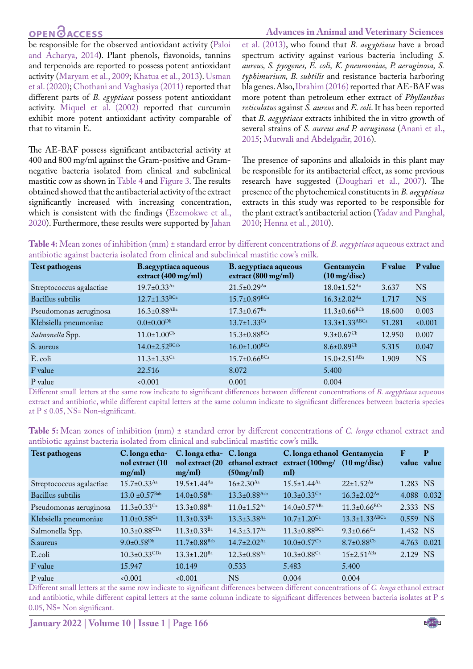# **OPEN**<sub>d</sub>

#### **Advances in Animal and Veterinary Sciences**

be responsible for the observed antioxidant activity [\(Paloi](#page-9-13)  [and Acharya, 2014](#page-9-13)**)**. Plant phenols, flavonoids, tannins and terpenoids are reported to possess potent antioxidant activity [\(Maryam et al., 2009;](#page-8-20) [Khatua et al., 2013\)](#page-8-21). Usman et al. (2020); [Chothani and Vaghasiya \(2011\)](#page-8-5) reported that different parts of *B. egyptiaca* possess potent antioxidant activity. [Miquel et al. \(2002\)](#page-8-22) reported that curcumin exhibit more potent antioxidant activity comparable of that to vitamin E.

The AE-BAF possess significant antibacterial activity at 400 and 800 mg/ml against the Gram-positive and Gramnegative bacteria isolated from clinical and subclinical mastitic cow as shown in [Table 4](#page-6-0) and [Figure 3](#page-4-2)*.* The results obtained showed that the antibacterial activity of the extract significantly increased with increasing concentration, which is consistent with the findings [\(Ezemokwe et al.,](#page-8-23)  [2020](#page-8-23)). Furthermore, these results were supported by [Jahan](#page-8-24) 

[et al. \(2013\),](#page-8-24) who found that *B. aegyptiaca* have a broad spectrum activity against various bacteria including *S. aureus, S. pyogenes, E. coli, K. pneumoniae, P. aeruginosa, S. typhimurium, B. subtilis* and resistance bacteria harboring bla genes. Also, [Ibrahim \(2016\)](#page-8-25) reported that AE-BAF was more potent than petroleum ether extract of *Phyllanthus reticulatus* against *S. aureus* and *E. coli*. It has been reported that *B. aegyptiaca* extracts inhibited the in vitro growth of several strains of *S. aureus and P. aeruginosa* [\(Anani et al.,](#page-7-1) [2015;](#page-7-1) [Mutwali and Abdelgadir, 2016](#page-9-14)).

The presence of saponins and alkaloids in this plant may be responsible for its antibacterial effect, as some previous research have suggested [\(Doughari et al., 2007\)](#page-8-26). The presence of the phytochemical constituents in *B. aegyptiaca*  extracts in this study was reported to be responsible for the plant extract's antibacterial action (Yadav and Panghal, 2010; [Henna et al., 2010](#page-8-17)).

<span id="page-6-0"></span>**Table 4:** Mean zones of inhibition (mm) ± standard error by different concentrations of *B. aegyptiaca* aqueous extract and antibiotic against bacteria isolated from clinical and subclinical mastitic cow's milk.

| <b>Test pathogens</b>    | B.aegyptiaca aqueous<br>extract $(400 \text{ mg/ml})$ | B. aegyptiaca aqueous<br>extract $(800 \text{ mg/ml})$ | Gentamycin<br>$(10 \text{ mg/disc})$ | <b>F</b> value | P value   |
|--------------------------|-------------------------------------------------------|--------------------------------------------------------|--------------------------------------|----------------|-----------|
| Streptococcus agalactiae | $19.7 \pm 0.33$ <sup>Aa</sup>                         | $21.5 \pm 0.29$ <sup>Aa</sup>                          | $18.0 \pm 1.52^{Aa}$                 | 3.637          | <b>NS</b> |
| Bacillus subtilis        | $12.7 \pm 1.33$ BCa                                   | $15.7 \pm 0.89^{\text{BCa}}$                           | $16.3 \pm 2.02$ <sup>Aa</sup>        | 1.717          | <b>NS</b> |
| Pseudomonas aeruginosa   | $16.3 \pm 0.88$ <sup>ABa</sup>                        | $17.3 \pm 0.67$ <sup>Ba</sup>                          | $11.3 \pm 0.66$ <sup>BCb</sup>       | 18.600         | 0.003     |
| Klebsiella pneumoniae    | $0.0\pm0.00^{Db}$                                     | $13.7 \pm 1.33$ <sup>Ca</sup>                          | $13.3 \pm 1.33^{ABCa}$               | 51.281         | 0.001     |
| Salmonella Spp.          | $11.0 \pm 1.00$ <sup>Cb</sup>                         | $15.3 \pm 0.88$ <sup>BCa</sup>                         | $9.3 \pm 0.67$ <sup>Cb</sup>         | 12.950         | 0.007     |
| S. aureus                | $14.0 \pm 2.52^{\text{BCab}}$                         | $16.0 \pm 1.00^{BCa}$                                  | $8.6 \pm 0.89$ <sup>Cb</sup>         | 5.315          | 0.047     |
| E. coli                  | $11.3 \pm 1.33$ <sup>Ca</sup>                         | $15.7 \pm 0.66$ <sup>BCa</sup>                         | $15.0 \pm 2.51$ <sup>ABa</sup>       | 1.909          | <b>NS</b> |
| F value                  | 22.516                                                | 8.072                                                  | 5.400                                |                |           |
| P value                  | 0.001                                                 | 0.001                                                  | 0.004                                |                |           |

Different small letters at the same row indicate to significant differences between different concentrations of *B. aegyptiaca* aqueous extract and antibiotic, while different capital letters at the same column indicate to significant differences between bacteria species at  $P \le 0.05$ , NS= Non-significant.

<span id="page-6-1"></span>

| <b>Table 5:</b> Mean zones of inhibition (mm) ± standard error by different concentrations of C. longa ethanol extract and |  |  |  |
|----------------------------------------------------------------------------------------------------------------------------|--|--|--|
| antibiotic against bacteria isolated from clinical and subclinical mastitic cow's milk.                                    |  |  |  |

| Test pathogens           | C. longa etha-<br>nol extract (10<br>mg/ml) | C. longa etha- C. longa<br>nol extract (20<br>mg/ml) | ethanol extract<br>(50mg/ml)  | C. longa ethanol Gentamycin<br>extract (100mg/<br>ml) | $(10 \text{ mg/disc})$         | F<br>value value | P |
|--------------------------|---------------------------------------------|------------------------------------------------------|-------------------------------|-------------------------------------------------------|--------------------------------|------------------|---|
| Streptococcus agalactiae | $15.7 \pm 0.33$ <sup>Aa</sup>               | $19.5 \pm 1.44$ <sup>Aa</sup>                        | $16 \pm 2.30$ <sup>Aa</sup>   | $15.5 \pm 1.44$ <sup>Aa</sup>                         | $22+1.52$ <sup>Aa</sup>        | 1.283 NS         |   |
| Bacillus subtilis        | $13.0 \pm 0.57$ <sup>Bab</sup>              | $14.0 \pm 0.58$ <sup>Ba</sup>                        | $13.3 \pm 0.88$ Aab           | $10.3 \pm 0.33$ <sup>Cb</sup>                         | $16.3 \pm 2.02$ <sup>Aa</sup>  | 4.088 0.032      |   |
| Pseudomonas aeruginosa   | $11.3 \pm 0.33$ <sup>Ca</sup>               | $13.3 \pm 0.88$ <sup>Ba</sup>                        | $11.0 \pm 1.52$ <sup>Aa</sup> | $14.0 \pm 0.57$ <sup>ABa</sup>                        | $11.3 \pm 0.66$ <sup>BCa</sup> | 2.333 NS         |   |
| Klebsiella pneumoniae    | $11.0\pm0.58$ Ca                            | $11.3 \pm 0.33$ <sup>Ba</sup>                        | $13.3 + 3.38$ <sup>Aa</sup>   | $10.7+1.20$ <sup>Ca</sup>                             | $13.3 \pm 1.33^{ABCa}$         | 0.559 NS         |   |
| Salmonella Spp.          | $10.3 \pm 0.88$ CDa                         | $11.3 \pm 0.33$ <sup>Ba</sup>                        | $14.3 \pm 3.17$ <sup>Aa</sup> | $11.3 \pm 0.88$ <sup>BCa</sup>                        | $9.3 \pm 0.66$ <sup>Ca</sup>   | 1.432 NS         |   |
| S.aureus                 | $9.0 \pm 0.58^{Db}$                         | $11.7 + 0.88$ <sup>Bab</sup>                         | $14.7+2.02$ <sup>Aa</sup>     | $10.0\pm0.57$ <sup>Cb</sup>                           | $8.7 \pm 0.88$ <sup>Cb</sup>   | 4.763 0.021      |   |
| E.coli                   | $10.3 \pm 0.33$ CDa                         | $13.3 + 1.20$ <sup>Ba</sup>                          | $12.3 + 0.88$ <sup>Aa</sup>   | $10.3 \pm 0.88$ <sup>Ca</sup>                         | $15+2.51$ <sup>ABa</sup>       | 2.129 NS         |   |
| F value                  | 15.947                                      | 10.149                                               | 0.533                         | 5.483                                                 | 5.400                          |                  |   |
| P value                  | 0.001                                       | 0.001                                                | <b>NS</b>                     | 0.004                                                 | 0.004                          |                  |   |

Different small letters at the same row indicate to significant differences between different concentrations of *C. longa* ethanol extract and antibiotic, while different capital letters at the same column indicate to significant differences between bacteria isolates at P  $\leq$ 0.05, NS= Non significant.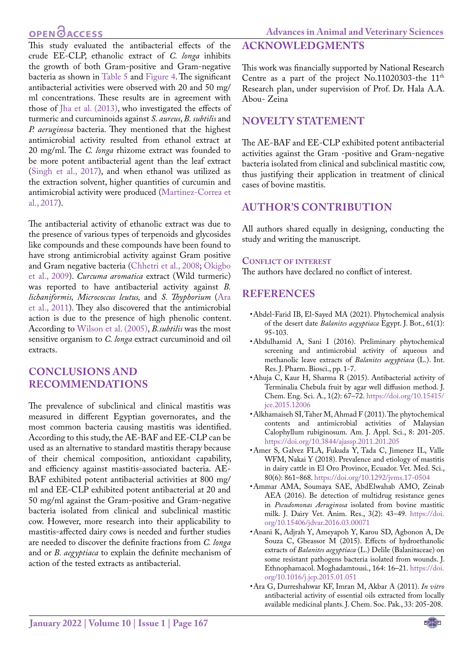# **OPEN**OACCESS

This study evaluated the antibacterial effects of the crude EE-CLP, ethanolic extract of *C. longa* inhibits the growth of both Gram-positive and Gram-negative bacteria as shown in [Table 5](#page-6-1) and [Figure 4.](#page-5-0) The significant antibacterial activities were observed with 20 and 50 mg/ ml concentrations. These results are in agreement with those of [Jha et al. \(2013\)](#page-8-27), who investigated the effects of turmeric and curcuminoids against *S. aureus*, *B. subtilis* and *P. aeruginosa* bacteria. They mentioned that the highest antimicrobial activity resulted from ethanol extract at 20 mg/ml. The *C. longa* rhizome extract was founded to be more potent antibacterial agent than the leaf extract ([Singh et al., 2017\)](#page-9-15), and when ethanol was utilized as the extraction solvent, higher quantities of curcumin and antimicrobial activity were produced [\(Martinez-Correa et](#page-8-28)  [al., 2017](#page-8-28)).

The antibacterial activity of ethanolic extract was due to the presence of various types of terpenoids and glycosides like compounds and these compounds have been found to have strong antimicrobial activity against Gram positive and Gram negative bacteria ([Chhetri et al., 2008](#page-8-29); [Okigbo](#page-9-16)  [et al., 2009\)](#page-9-16). *Curcuma aromatica* extract (Wild turmeric) was reported to have antibacterial activity against *B. lichaniformis, Micrococcus leutus,* and *S. Thyphorium* ([Ara](#page-7-7)  [et al., 2011\)](#page-7-7). They also discovered that the antimicrobial action is due to the presence of high phenolic content. According to Wilson et al. (2005), *B.subtilis* was the most sensitive organism to *C. longa* extract curcuminoid and oil extracts.

## **CONCLUSIONS and Recommendations**

The prevalence of subclinical and clinical mastitis was measured in different Egyptian governorates, and the most common bacteria causing mastitis was identified. According to this study, the AE-BAF and EE-CLP can be used as an alternative to standard mastitis therapy because of their chemical composition, antioxidant capability, and efficiency against mastitis-associated bacteria. AE-BAF exhibited potent antibacterial activities at 800 mg/ ml and EE-CLP exhibited potent antibacterial at 20 and 50 mg/ml against the Gram-positive and Gram-negative bacteria isolated from clinical and subclinical mastitic cow. However, more research into their applicability to mastitis-affected dairy cows is needed and further studies are needed to discover the definite fractions from *C. longa* and or *B. aegyptiaca* to explain the definite mechanism of action of the tested extracts as antibacterial.

#### **ACKNOWLEDGMENTS**

This work was financially supported by National Research Centre as a part of the project No.11020303-the 11<sup>th</sup> Research plan, under supervision of Prof. Dr. Hala A.A. Abou- Zeina

## **Novelty Statement**

The AE-BAF and EE-CLP exhibited potent antibacterial activities against the Gram -positive and Gram-negative bacteria isolated from clinical and subclinical mastitic cow, thus justifying their application in treatment of clinical cases of bovine mastitis.

## **AUTHOR'S CONTRIBUTION**

All authors shared equally in designing, conducting the study and writing the manuscript.

#### **Conflict of interest**

The authors have declared no conflict of interest.

## **REFERENCES**

- <span id="page-7-0"></span>• Abdel-Farid IB, El-Sayed MA (2021). Phytochemical analysis of the desert date *Balanites aegyptiaca* Egypt. J. Bot., 61(1): 95-103.
- <span id="page-7-6"></span>• Abdulhamid A, Sani I (2016). Preliminary phytochemical screening and antimicrobial activity of aqueous and methanolic leave extracts of *Balanites aegyptiaca* (L.). Int. Res. J. Pharm. Biosci., pp. 1-7.
- <span id="page-7-3"></span>• Ahuja C, Kaur H, Sharma R (2015). Antibacterial activity of Terminalia Chebula fruit by agar well diffusion method. J. Chem. Eng. Sci. A., 1(2): 67–72. [https://doi.org/10.15415/](https://doi.org/10.15415/jce.2015.12006) [jce.2015.12006](https://doi.org/10.15415/jce.2015.12006)
- <span id="page-7-5"></span>• Alkhamaiseh SI, Taher M, Ahmad F (2011). The phytochemical contents and antimicrobial activities of Malaysian Calophyllum rubiginosum. Am. J. Appl. Sci., 8: 201-205. <https://doi.org/10.3844/ajassp.2011.201.205>
- <span id="page-7-2"></span>• Amer S, Galvez FLA, Fukuda Y, Tada C, Jimenez IL, Valle WFM, Nakai Y (2018). Prevalence and etiology of mastitis in dairy cattle in El Oro Province, Ecuador. Vet. Med. Sci., 80(6): 861–868. <https://doi.org/10.1292/jvms.17-0504>
- <span id="page-7-4"></span>• Ammar AMA, Soumaya SAE, AbdElwahab AMO, Zeinab AEA (2016). Be detection of multidrug resistance genes in *Pseudomonas Aeruginosa* isolated from bovine mastitic milk. J. Dairy Vet. Anim. Res., 3(2): 43‒49. [https://doi.](https://doi.org/10.15406/jdvar.2016.03.00071) [org/10.15406/jdvar.2016.03.00071](https://doi.org/10.15406/jdvar.2016.03.00071)
- <span id="page-7-1"></span>• Anani K, Adjrah Y, Ameyapoh Y, Karou SD, Agbonon A, De Souza C, Gbeassor M (2015). Effects of hydroethanolic extracts of *Balanites aegyptiaca* (L.) Delile (Balanitaceae) on some resistant pathogens bacteria isolated from wounds. J. Ethnophamacol. Moghadamtousi., 164: 16–21. [https://doi.](https://doi.org/10.1016/j.jep.2015.01.051) [org/10.1016/j.jep.2015.01.051](https://doi.org/10.1016/j.jep.2015.01.051)
- <span id="page-7-7"></span>• Ara G, Durreshahwar KF, Imran M, Akbar A (2011). *In vitro* antibacterial activity of essential oils extracted from locally available medicinal plants. J. Chem. Soc. Pak., 33: 205-208.

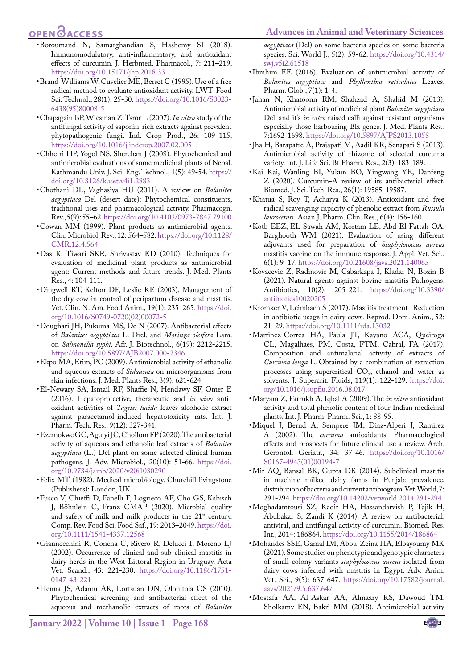#### **Advances in Animal and Veterinary Sciences**

# **OPEN**OACCESS

- <span id="page-8-9"></span>• Boroumand N, Samarghandian S, Hashemy SI (2018). Immunomodulatory, anti-inflammatory, and antioxidant effects of curcumin. J. Herbmed. Pharmacol., 7: 211–219. <https://doi.org/10.15171/jhp.2018.33>
- <span id="page-8-12"></span>• Brand-Williams W, Cuvelier ME, Berset C (1995). Use of a free radical method to evaluate antioxidant activity. LWT-Food Sci. Technol., 28(1): 25-30. [https://doi.org/10.1016/S0023-](https://doi.org/10.1016/S0023-6438(95)80008-5) [6438\(95\)80008-5](https://doi.org/10.1016/S0023-6438(95)80008-5)
- <span id="page-8-7"></span>• Chapagain BP, Wiesman Z, Tsror L (2007). *In vitro* study of the antifungal activity of saponin-rich extracts against prevalent phytopathogenic fungi. Ind. Crop Prod., 26: 109–115. <https://doi.org/10.1016/j.indcrop.2007.02.005>
- <span id="page-8-29"></span>• Chhetri HP, Yogol NS, Sherchan J (2008). Phytochemical and antimicrobial evaluations of some medicinal plants of Nepal. Kathmandu Univ. J. Sci. Eng. Technol., 1(5): 49-54. [https://](https://doi.org/10.3126/kuset.v4i1.2883) [doi.org/10.3126/kuset.v4i1.2883](https://doi.org/10.3126/kuset.v4i1.2883)
- <span id="page-8-5"></span>• Chothani DL, Vaghasiya HU (2011). A review on *Balanites aegyptiaca*  Del (desert date): Phytochemical constituents, traditional uses and pharmacological activity. Pharmacogn. Rev., 5(9): 55–62.<https://doi.org/10.4103/0973-7847.79100>
- <span id="page-8-6"></span>• Cowan MM (1999). Plant products as antimicrobial agents. Clin. Microbiol. Rev., 12: 564–582. [https://doi.org/10.1128/](https://doi.org/10.1128/CMR.12.4.564) [CMR.12.4.564](https://doi.org/10.1128/CMR.12.4.564)
- <span id="page-8-15"></span>• Das K, Tiwari SKR, Shrivastav KD (2010). Techniques for evaluation of medicinal plant products as antimicrobial agent: Current methods and future trends. J. Med. Plants Res., 4: 104-111.
- <span id="page-8-3"></span>• Dingwell RT, Kelton DF, Leslie KE (2003). Management of the dry cow in control of peripartum disease and mastitis. Vet. Clin. N. Am. Food Anim., 19(1): 235–265. [https://doi.](https://doi.org/10.1016/S0749-0720(02)00072-5) [org/10.1016/S0749-0720\(02\)00072-5](https://doi.org/10.1016/S0749-0720(02)00072-5)
- <span id="page-8-26"></span>• Doughari JH, Pukuma MS, De N (2007). Antibacterial effects of *Balanites aegyptiaca* L. Drel. and *Moringa oleifera* Lam. on *Salmonella typhi*. Afr. J. Biotechnol., 6(19): 2212-2215. <https://doi.org/10.5897/AJB2007.000-2346>
- <span id="page-8-18"></span>• Ekpo MA, Etim, PC (2009). Antimicrobial activity of ethanolic and aqueous extracts of *Sidaacuta* on microorganisms from skin infections. J. Med. Plants Res., 3(9): 621-624.
- <span id="page-8-11"></span>• El-Newary SA, Ismail RF, Shaffie N, Hendawy SF, Omer E (2016). Hepatoprotective, therapeutic and *in vivo* antioxidant activities of *Tagetes lucida* leaves alcoholic extract against paracetamol-induced hepatotoxicity rats. Int. J. Pharm. Tech. Res., 9(12): 327-341.
- <span id="page-8-23"></span>• Ezemokwe GC, Aguiyi JC, Chollom FP (2020). The antibacterial activity of aqueous and ethanolic leaf extracts of *Balanites aegyptiaca* (L.) Del plant on some selected clinical human pathogens*.* J. Adv. Microbiol., 20(10): 51-66. [https://doi.](https://doi.org/10.9734/jamb/2020/v20i1030290) [org/10.9734/jamb/2020/v20i1030290](https://doi.org/10.9734/jamb/2020/v20i1030290)
- <span id="page-8-19"></span>• Felix MT (1982). Medical microbiology. Churchill livingstone (Publishers): London, UK.
- • Fusco V, Chieffi D, Fanelli F, Logrieco AF, Cho GS, Kabisch J, Böhnlein C, Franz CMAP (2020). Microbial quality and safety of milk and milk products in the 21<sup>st</sup> century. Comp. Rev. Food Sci. Food Saf., 19: 2013–2049. [https://doi.](https://doi.org/10.1111/1541-4337.12568) [org/10.1111/1541-4337.12568](https://doi.org/10.1111/1541-4337.12568)
- <span id="page-8-14"></span>• Gianneechini R, Concha C, Rivero R, Delucci I, Moreno LJ (2002). Occurrence of clinical and sub-clinical mastitis in dairy herds in the West Littoral Region in Uruguay. Acta Vet. Scand., 43: 221-230. [https://doi.org/10.1186/1751-](https://doi.org/10.1186/1751-0147-43-221) [0147-43-221](https://doi.org/10.1186/1751-0147-43-221)
- <span id="page-8-17"></span>• Henna JS, Adamu AK, Lortsuan DN, Olonitola OS (2010). Phytochemical screening and antibacterial effect of the aqueous and methanolic extracts of roots of *Balanites*

*aegyptiaca* (Del) on some bacteria species on some bacteria species. Sci. World J., 5(2): 59-62. [https://doi.org/10.4314/](https://doi.org/10.4314/swj.v5i2.61518) [swj.v5i2.61518](https://doi.org/10.4314/swj.v5i2.61518)

- <span id="page-8-25"></span>• Ibrahim EE (2016). Evaluation of antimicrobial activity of *Balanites aegyptiaca* and *Phyllanthus reticulates* Leaves. Pharm. Glob., 7(1): 1-4.
- <span id="page-8-24"></span>• Jahan N, Khatoonn RM, Shahzad A, Shahid M (2013). Antimicrobial activity of medicinal plant *Balanites aegyptiaca*  Del. and it's *in vitro* raised calli against resistant organisms especially those harbouring Bla genes. J. Med. Plants Res., 7:1692-1698.<https://doi.org/10.5897/AJPS2013.1058>
- <span id="page-8-27"></span>• Iha H, Barapatre A, Prajapati M, Aadil KR, Senapati S (2013). Antimicrobial activity of rhizome of selected curcuma variety. Int. J. Life Sci. Bt Pharm. Res., 2(3): 183-189.
- <span id="page-8-10"></span>• Kai Kai, Wanling BI, Yukun BO, Yingwang YE, Danfeng Z (2020). Curcumin-A review of its antibacterial effect. Biomed. J. Sci. Tech. Res., 26(1): 19585-19587.
- <span id="page-8-21"></span>• Khatua S, Roy T, Acharya K (2013). Antioxidant and free radical scavenging capacity of phenolic extract from *Russula laurocerasi.* Asian J. Pharm. Clin. Res., 6(4): 156-160.
- <span id="page-8-0"></span>• Kotb EEZ, EL Sawah AM, Kortam LE, Abd El Fattah OA, Barghooth WM (2021). Evaluation of using different adjuvants used for preparation of *Staphylococcus aureus* mastitis vaccine on the immune response. J. Appl. Vet. Sci., 6(1): 9–17.<https://doi.org/10.21608/javs.2021.140065>
- <span id="page-8-4"></span>• Kovacevic Z, Radinovic M, Cabarkapa I, Kladar N, Bozin B (2021). Natural agents against bovine mastitis Pathogens. Antibiotics, 10(2): 205-221. [https://doi.org/10.3390/](https://doi.org/10.3390/antibiotics10020205) [antibiotics10020205](https://doi.org/10.3390/antibiotics10020205)
- <span id="page-8-1"></span>• Kromker V, Leimbach S (2017). Mastitis treatment- Reduction in antibiotic usage in dairy cows. Reprod. Dom. Anim., 52: 21–29. <https://doi.org/10.1111/rda.13032>
- <span id="page-8-28"></span>• Martinez-Correa HA, Paula JT, Kayano ACA, Queiroga CL, Magalhaes, PM, Costa, FTM, Cabral, FA (2017). Composition and antimalarial activity of extracts of *Curcuma longa* L. Obtained by a combination of extraction processes using supercritical  $CO<sub>2</sub>$ , ethanol and water as solvents. J. Supercrit. Fluids, 119(1): 122-129. [https://doi.](https://doi.org/10.1016/j.supflu.2016.08.017) [org/10.1016/j.supflu.2016.08.017](https://doi.org/10.1016/j.supflu.2016.08.017)
- <span id="page-8-20"></span>• Maryam Z, Farrukh A, Iqbal A (2009). The *in vitro* antioxidant activity and total phenolic content of four Indian medicinal plants. Int. J. Pharm. Pharm. Sci., 1: 88-95.
- <span id="page-8-22"></span>• Miquel J, Bernd A, Sempere JM, Diaz-Alperi J, Ramirez A (2002). The *curcuma* antioxidants: Pharmacological effects and prospects for future clinical use a review. Arch. Gerontol. Geriatr., 34: 37-46. [https://doi.org/10.1016/](https://doi.org/10.1016/S0167-4943(01)00194-7) [S0167-4943\(01\)00194-7](https://doi.org/10.1016/S0167-4943(01)00194-7)
- <span id="page-8-16"></span>• Mir AQ, Bansal BK, Gupta DK (2014). Subclinical mastitis in machine milked dairy farms in Punjab: prevalence, distribution of bacteria and current antibiogram. Vet. World, 7: 291-294.<https://doi.org/10.14202/vetworld.2014.291-294>
- <span id="page-8-8"></span>• Moghadamtousi SZ, Kadir HA, Hassandarvish P, Tajik H, Abubakar S, Zandi K (2014). A review on antibacterial, antiviral, and antifungal activity of curcumin. Biomed. Res. Int., 2014: 186864.<https://doi.org/10.1155/2014/186864>
- <span id="page-8-2"></span>• Mohandes SSE, Gamal IM, Abou-Zeina HA, Elbayoumy MK (2021). Some studies on phenotypic and genotypic characters of small colony variants *staphylococcus aureus* isolated from dairy cows infected with mastitis in Egypt. Adv. Anim. Vet. Sci., 9(5): 637-647. [https://doi.org/10.17582/journal.](https://doi.org/10.17582/journal.aavs/2021/9.5.637.647) [aavs/2021/9.5.637.647](https://doi.org/10.17582/journal.aavs/2021/9.5.637.647)
- <span id="page-8-13"></span>• Mostafa AA, Al-Askar AA, Almaary KS, Dawoud TM, Sholkamy EN, Bakri MM (2018). Antimicrobial activity

NE**X**US